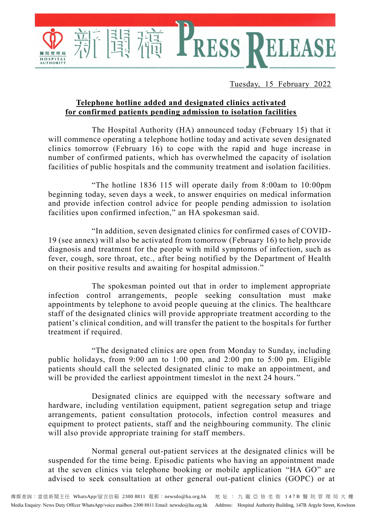Tuesday, 15 February 2022

ELEASE

## **Telephone hotline added and designated clinics activated for confirmed patients pending admission to isolation facilities**

The Hospital Authority (HA) announced today (February 15) that it will commence operating a telephone hotline today and activate seven designated clinics tomorrow (February 16) to cope with the rapid and huge increase in number of confirmed patients, which has overwhelmed the capacity of isolation facilities of public hospitals and the community treatment and isolation facilities.

E PRESS

"The hotline 1836 115 will operate daily from 8:00am to 10:00pm beginning today, seven days a week, to answer enquiries on medical information and provide infection control advice for people pending admission to isolation facilities upon confirmed infection," an HA spokesman said.

"In addition, seven designated clinics for confirmed cases of COVID-19 (see annex) will also be activated from tomorrow (February 16) to help provide diagnosis and treatment for the people with mild symptoms of infection, such as fever, cough, sore throat, etc., after being notified by the Department of Health on their positive results and awaiting for hospital admission."

The spokesman pointed out that in order to implement appropriate infection control arrangements, people seeking consultation must make appointments by telephone to avoid people queuing at the clinics. The healthcare staff of the designated clinics will provide appropriate treatment according to the patient's clinical condition, and will transfer the patient to the hospitals for further treatment if required.

"The designated clinics are open from Monday to Sunday, including public holidays, from 9:00 am to 1:00 pm, and 2:00 pm to 5:00 pm. Eligible patients should call the selected designated clinic to make an appointment, and will be provided the earliest appointment timeslot in the next 24 hours."

Designated clinics are equipped with the necessary software and hardware, including ventilation equipment, patient segregation setup and triage arrangements, patient consultation protocols, infection control measures and equipment to protect patients, staff and the neighbouring community. The clinic will also provide appropriate training for staff members.

Normal general out-patient services at the designated clinics will be suspended for the time being. Episodic patients who having an appointment made at the seven clinics via telephone booking or mobile application "HA GO" are advised to seek consultation at other general out-patient clinics (GOPC) or at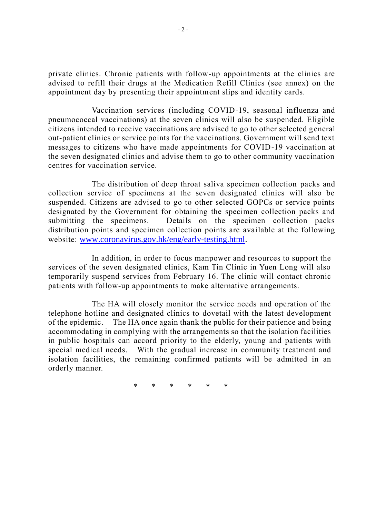private clinics. Chronic patients with follow-up appointments at the clinics are advised to refill their drugs at the Medication Refill Clinics (see annex) on the appointment day by presenting their appointment slips and identity cards.

Vaccination services (including COVID-19, seasonal influenza and pneumococcal vaccinations) at the seven clinics will also be suspended. Eligible citizens intended to receive vaccinations are advised to go to other selected general out-patient clinics or service points for the vaccinations. Government will send text messages to citizens who have made appointments for COVID-19 vaccination at the seven designated clinics and advise them to go to other community vaccination centres for vaccination service.

The distribution of deep throat saliva specimen collection packs and collection service of specimens at the seven designated clinics will also be suspended. Citizens are advised to go to other selected GOPCs or service points designated by the Government for obtaining the specimen collection packs and submitting the specimens. Details on the specimen collection packs distribution points and specimen collection points are available at the following website: [www.coronavirus.gov.hk/eng/early-testing.html.](http://www.coronavirus.gov.hk/eng/early-testing.html)

In addition, in order to focus manpower and resources to support the services of the seven designated clinics, Kam Tin Clinic in Yuen Long will also temporarily suspend services from February 16. The clinic will contact chronic patients with follow-up appointments to make alternative arrangements.

The HA will closely monitor the service needs and operation of the telephone hotline and designated clinics to dovetail with the latest development of the epidemic. The HA once again thank the public for their patience and being accommodating in complying with the arrangements so that the isolation facilities in public hospitals can accord priority to the elderly, young and patients with special medical needs. With the gradual increase in community treatment and isolation facilities, the remaining confirmed patients will be admitted in an orderly manner.

\* \* \* \* \* \*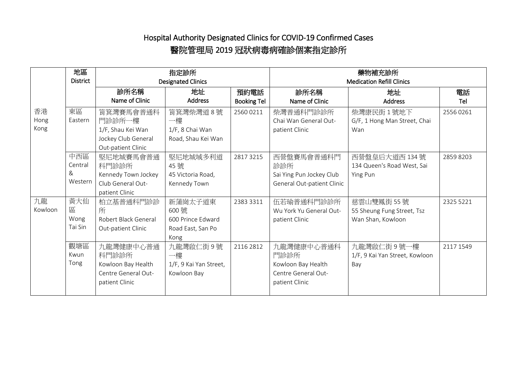## Hospital Authority Designated Clinics for COVID-19 Confirmed Cases 醫院管理局 2019 冠狀病毒病確診個案指定診所

|              | 地區<br><b>District</b>     | 指定診所                 |                        |                    | 藥物補充診所                           |                                |           |  |
|--------------|---------------------------|----------------------|------------------------|--------------------|----------------------------------|--------------------------------|-----------|--|
|              | <b>Designated Clinics</b> |                      |                        |                    | <b>Medication Refill Clinics</b> |                                |           |  |
|              |                           | 診所名稱                 | 地址                     | 預約電話               | 診所名稱                             | 地址                             | 電話        |  |
|              |                           | Name of Clinic       | <b>Address</b>         | <b>Booking Tel</b> | Name of Clinic                   | <b>Address</b>                 | Tel       |  |
| 香港           | 東區                        | 筲箕灣賽馬會普通科            | 筲箕灣柴灣道8號               | 25600211           | 柴灣普通科門診診所                        | 柴灣康民街 1號地下                     | 25560261  |  |
| Hong<br>Kong | Eastern                   | 門診診所一樓               | 一樓                     |                    | Chai Wan General Out-            | G/F, 1 Hong Man Street, Chai   |           |  |
|              |                           | 1/F, Shau Kei Wan    | 1/F, 8 Chai Wan        |                    | patient Clinic                   | Wan                            |           |  |
|              |                           | Jockey Club General  | Road, Shau Kei Wan     |                    |                                  |                                |           |  |
|              |                           | Out-patient Clinic   |                        |                    |                                  |                                |           |  |
|              | 中西區                       | 堅尼地城賽馬會普通            | 堅尼地城域多利道               | 2817 3215          | 西營盤賽馬會普通科門                       | 西營盤皇后大道西 134號                  | 28598203  |  |
|              | Central                   | 科門診診所                | 45號                    |                    | 診診所                              | 134 Queen's Road West, Sai     |           |  |
|              | &                         | Kennedy Town Jockey  | 45 Victoria Road,      |                    | Sai Ying Pun Jockey Club         | Ying Pun                       |           |  |
|              | Western                   | Club General Out-    | Kennedy Town           |                    | General Out-patient Clinic       |                                |           |  |
|              |                           | patient Clinic       |                        |                    |                                  |                                |           |  |
| 九龍           | 黃大仙                       | 柏立基普通科門診診            | 新蒲崗太子道東                | 2383 3311          | 伍若瑜普通科門診診所                       | 慈雲山雙鳳街 55 號                    | 2325 5221 |  |
| Kowloon      | 區                         | 所                    | 600號                   |                    | Wu York Yu General Out-          | 55 Sheung Fung Street, Tsz     |           |  |
|              | Wong                      | Robert Black General | 600 Prince Edward      |                    | patient Clinic                   | Wan Shan, Kowloon              |           |  |
|              | Tai Sin                   | Out-patient Clinic   | Road East, San Po      |                    |                                  |                                |           |  |
|              |                           |                      | Kong                   |                    |                                  |                                |           |  |
|              | 觀塘區                       | 九龍灣健康中心普通            | 九龍灣啟仁街9號               | 2116 2812          | 九龍灣健康中心普通科                       | 九龍灣啟仁街9號一樓                     | 2117 1549 |  |
|              | Kwun                      | 科門診診所                | 一樓                     |                    | 門診診所                             | 1/F, 9 Kai Yan Street, Kowloon |           |  |
|              | Tong                      | Kowloon Bay Health   | 1/F, 9 Kai Yan Street, |                    | Kowloon Bay Health               | Bay                            |           |  |
|              |                           | Centre General Out-  | Kowloon Bay            |                    | Centre General Out-              |                                |           |  |
|              |                           | patient Clinic       |                        |                    | patient Clinic                   |                                |           |  |
|              |                           |                      |                        |                    |                                  |                                |           |  |